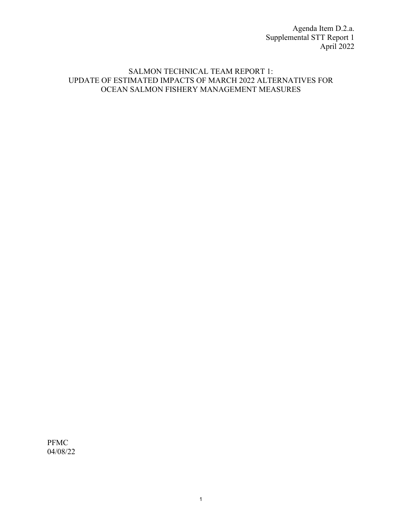Agenda Item D.2.a. Supplemental STT Report 1 April 2022

## SALMON TECHNICAL TEAM REPORT 1: UPDATE OF ESTIMATED IMPACTS OF MARCH 2022 ALTERNATIVES FOR OCEAN SALMON FISHERY MANAGEMENT MEASURES

PFMC 04/08/22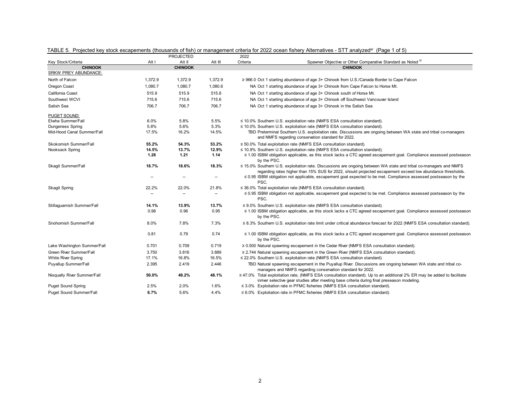|                             |         | PROJECTED                |         | 2022     |                                                                                                                                                                                                                                      |
|-----------------------------|---------|--------------------------|---------|----------|--------------------------------------------------------------------------------------------------------------------------------------------------------------------------------------------------------------------------------------|
| Key Stock/Criteria          | Alt I   | Alt II                   | Alt III | Criteria | Spawner Objective or Other Comparative Standard as Noted b/                                                                                                                                                                          |
| <b>CHINOOK</b>              |         | <b>CHINOOK</b>           |         |          | <b>CHINOOK</b>                                                                                                                                                                                                                       |
| <b>SRKW PREY ABUNDANCE:</b> |         |                          |         |          |                                                                                                                                                                                                                                      |
| North of Falcon             | 1,372.9 | 1,372.9                  | 1,372.9 |          | ≥ 966.0 Oct 1 starting abundance of age 3+ Chinook from U.S./Canada Border to Cape Falcon                                                                                                                                            |
| Oregon Coast                | 1,080.7 | 1,080.7                  | 1,080.6 |          | NA Oct 1 starting abundance of age 3+ Chinook from Cape Falcon to Horse Mt.                                                                                                                                                          |
| California Coast            | 515.9   | 515.9                    | 515.8   |          | NA Oct 1 starting abundance of age 3+ Chinook south of Horse Mt.                                                                                                                                                                     |
| Southwest WCVI              | 715.6   | 715.6                    | 715.6   |          | NA Oct 1 starting abundance of age 3+ Chinook off Southwest Vancouver Island                                                                                                                                                         |
| Salish Sea                  | 706.7   | 706.7                    | 706.7   |          | NA Oct 1 starting abundance of age 3+ Chinook in the Salish Sea                                                                                                                                                                      |
| PUGET SOUND:                |         |                          |         |          |                                                                                                                                                                                                                                      |
| Elwha Summer/Fall           | 6.0%    | 5.8%                     | 5.5%    |          | ≤ 10.0% Southern U.S. exploitation rate (NMFS ESA consultation standard).                                                                                                                                                            |
| <b>Dungeness Spring</b>     | 5.8%    | 5.6%                     | 5.3%    |          | $\leq$ 10.0% Southern U.S. exploitation rate (NMFS ESA consultation standard).                                                                                                                                                       |
| Mid-Hood Canal Summer/Fall  | 17.5%   | 16.2%                    | 14.5%   |          | TBD Preterminal Southern U.S. exploitation rate. Discussions are ongoing between WA state and tribal co-managers<br>and NMFS regarding conservation standard for 2022.                                                               |
| Skokomish Summer/Fall       | 55.2%   | 54.3%                    | 53.2%   |          | $\leq$ 50.0% Total exploitation rate (NMFS ESA consultation standard).                                                                                                                                                               |
| Nooksack Spring             | 14.5%   | 13.7%                    | 12.9%   |          | ≤ 10.9% Southern U.S. exploitation rate (NMFS ESA consultation standard).                                                                                                                                                            |
|                             | 1.28    | 1.21                     | 1.14    |          | ≤ 1.00 ISBM obligation applicable, as this stock lacks a CTC agreed escapement goal. Compliance assessed postseason<br>by the PSC.                                                                                                   |
| Skagit Summer/Fall          | 18.7%   | 18.6%                    | 18.3%   |          | $\leq$ 15.0% Southern U.S. exploitation rate. Discussions are ongoing between WA state and tribal co-managers and NMFS<br>regarding rates higher than 15% SUS for 2022, should projected escapement exceed low abundance thresholds. |
|                             |         |                          |         | PSC.     | $\leq$ 0.95 ISBM obligation not applicable, escapement goal expected to be met. Compliance assessed postseason by the                                                                                                                |
| <b>Skagit Spring</b>        | 22.2%   | 22.0%                    | 21.8%   |          | ≤ 36.0% Total exploitation rate (NMFS ESA consultation standard).                                                                                                                                                                    |
|                             |         | $\overline{\phantom{a}}$ |         | PSC.     | ≤ 0.95 ISBM obligation not applicable, escapement goal expected to be met. Compliance assessed postseason by the                                                                                                                     |
| Stillaguamish Summer/Fall   | 14.1%   | 13.9%                    | 13.7%   |          | $\leq$ 9.0% Southern U.S. exploitation rate (NMFS ESA consultation standard).                                                                                                                                                        |
|                             | 0.98    | 0.96                     | 0.95    |          | ≤ 1.00 ISBM obligation applicable, as this stock lacks a CTC agreed escapement goal. Compliance assessed postseason<br>by the PSC.                                                                                                   |
| Snohomish Summer/Fall       | 8.0%    | 7.8%                     | 7.3%    |          | ≤ 8.3% Southern U.S. exploitation rate limit under critical abundance forecast for 2022 (NMFS ESA consultation standard).                                                                                                            |
|                             | 0.81    | 0.79                     | 0.74    |          | ≤ 1.00 ISBM obligation applicable, as this stock lacks a CTC agreed escapement goal. Compliance assessed postseason<br>by the PSC.                                                                                                   |
| Lake Washington Summer/Fall | 0.701   | 0.709                    | 0.719   |          | $\geq$ 0.500 Natural spawning escapement in the Cedar River (NMFS ESA consultation standard).                                                                                                                                        |
| Green River Summer/Fall     | 3.750   | 3.816                    | 3.889   |          | $\geq$ 2.744 Natural spawning escapement in the Green River (NMFS ESA consultation standard).                                                                                                                                        |
| White River Spring          | 17.1%   | 16.8%                    | 16.5%   |          | ≤ 22.0% Southern U.S. exploitation rate (NMFS ESA consultation standard).                                                                                                                                                            |
| Puyallup Summer/Fall        | 2.395   | 2.419                    | 2.446   |          | TBD Natural spawning escapement in the Puyallup River. Discussions are ongoing between WA state and tribal co-<br>managers and NMFS regarding conservation standard for 2022.                                                        |
| Nisqually River Summer/Fall | 50.0%   | 49.2%                    | 48.1%   |          | ≤ 47.0% Total exploitation rate, (NMFS ESA consultation standard). Up to an additional 2% ER may be added to facilitate<br>inriver selective gear studies after meeting base criteria during final preseason modeling.               |
| <b>Puget Sound Spring</b>   | 2.5%    | 2.0%                     | 1.6%    |          | ≤ 3.0% Exploitation rate in PFMC fisheries (NMFS ESA consultation standard).                                                                                                                                                         |
| Puget Sound Summer/Fall     | 6.7%    | 5.6%                     | 4.4%    |          | $\leq 6.0\%$ Exploitation rate in PFMC fisheries (NMFS ESA consultation standard).                                                                                                                                                   |

TABLE 5. Projected key stock escapements (thousands of fish) or management criteria for 2022 ocean fishery Alternatives - STT analyzed<sup>a/</sup> (Page 1 of 5)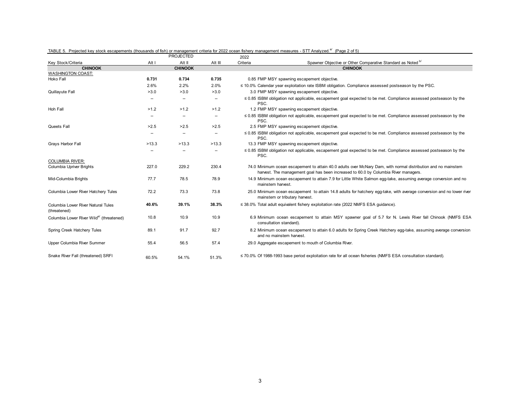|                                                    |                          | PROJECTED                |                          | 2022              |                                                                                                                                                                                                      |
|----------------------------------------------------|--------------------------|--------------------------|--------------------------|-------------------|------------------------------------------------------------------------------------------------------------------------------------------------------------------------------------------------------|
| Key Stock/Criteria                                 | Alt I                    | Alt II                   | Alt III                  | Criteria          | Spawner Objective or Other Comparative Standard as Noted b/                                                                                                                                          |
| <b>CHINOOK</b>                                     |                          | <b>CHINOOK</b>           |                          |                   | <b>CHINOOK</b>                                                                                                                                                                                       |
| <b>WASHINGTON COAST:</b>                           |                          |                          |                          |                   |                                                                                                                                                                                                      |
| Hoko Fall                                          | 0.731                    | 0.734                    | 0.735                    |                   | 0.85 FMP MSY spawning escapement objective.                                                                                                                                                          |
|                                                    | 2.6%                     | 2.2%                     | 2.0%                     |                   | $\leq$ 10.0% Calendar year exploitation rate ISBM obligation. Compliance assessed postseason by the PSC.                                                                                             |
| Quillayute Fall                                    | >3.0                     | >3.0                     | >3.0                     |                   | 3.0 FMP MSY spawning escapement objective.                                                                                                                                                           |
|                                                    | --                       | --                       | $\overline{\phantom{a}}$ | PSC.              | $\leq$ 0.85 ISBM obligation not applicable, escapement goal expected to be met. Compliance assessed postseason by the                                                                                |
| Hoh Fall                                           | >1.2                     | >1.2                     | >1.2                     |                   | 1.2 FMP MSY spawning escapement objective.                                                                                                                                                           |
|                                                    | --                       | --                       | $\overline{\phantom{a}}$ | PSC.              | $\leq$ 0.85 ISBM obligation not applicable, escapement goal expected to be met. Compliance assessed postseason by the                                                                                |
| Queets Fall                                        | >2.5                     | >2.5                     | >2.5                     |                   | 2.5 FMP MSY spawning escapement objective.                                                                                                                                                           |
|                                                    | $\overline{\phantom{a}}$ | $\overline{\phantom{a}}$ | $\overline{\phantom{a}}$ | PSC.              | $\leq$ 0.85 ISBM obligation not applicable, escapement goal expected to be met. Compliance assessed postseason by the                                                                                |
| Grays Harbor Fall                                  | >13.3                    | >13.3                    | >13.3                    |                   | 13.3 FMP MSY spawning escapement objective.                                                                                                                                                          |
|                                                    |                          |                          |                          | PSC.              | $\leq$ 0.85 ISBM obligation not applicable, escapement goal expected to be met. Compliance assessed postseason by the                                                                                |
| <b>COLUMBIA RIVER:</b>                             |                          |                          |                          |                   |                                                                                                                                                                                                      |
| Columbia Upriver Brights                           | 227.0                    | 229.2                    | 230.4                    |                   | 74.0 Minimum ocean escapement to attain 40.0 adults over McNary Dam, with normal distribution and no mainstem<br>harvest. The management goal has been increased to 60.0 by Columbia River managers. |
| Mid-Columbia Brights                               | 77.7                     | 78.5                     | 78.9                     | mainstem harvest. | 14.9 Minimum ocean escapement to attain 7.9 for Little White Salmon egg-take, assuming average conversion and no                                                                                     |
| Columbia Lower River Hatchery Tules                | 72.2                     | 73.3                     | 73.8                     |                   | 25.0 Minimum ocean escapement to attain 14.8 adults for hatchery egg-take, with average conversion and no lower river<br>mainstem or tributary harvest.                                              |
| Columbia Lower River Natural Tules<br>(threatened) | 40.6%                    | 39.1%                    | 38.3%                    |                   | $\leq$ 38.0% Total adult equivalent fishery exploitation rate (2022 NMFS ESA quidance).                                                                                                              |
| Columbia Lower River Wilde (threatened)            | 10.8                     | 10.9                     | 10.9                     |                   | 6.9 Minimum ocean escapement to attain MSY spawner goal of 5.7 for N. Lewis River fall Chinook (NMFS ESA<br>consultation standard).                                                                  |
| Spring Creek Hatchery Tules                        | 89.1                     | 91.7                     | 92.7                     |                   | 8.2 Minimum ocean escapement to attain 6.0 adults for Spring Creek Hatchery egg-take, assuming average conversion<br>and no mainstem harvest.                                                        |
| Upper Columbia River Summer                        | 55.4                     | 56.5                     | 57.4                     |                   | 29.0 Aggregate escapement to mouth of Columbia River.                                                                                                                                                |
| Snake River Fall (threatened) SRFI                 | 60.5%                    | 54.1%                    | 51.3%                    |                   | $\leq$ 70.0% Of 1988-1993 base period exploitation rate for all ocean fisheries (NMFS ESA consultation standard).                                                                                    |

## TABLE 5. Projected key stock escapements (thousands of fish) or management criteria for 2022 ocean fishery management measures - STT Analyzed.<sup>a/</sup> (Page 2 of 5)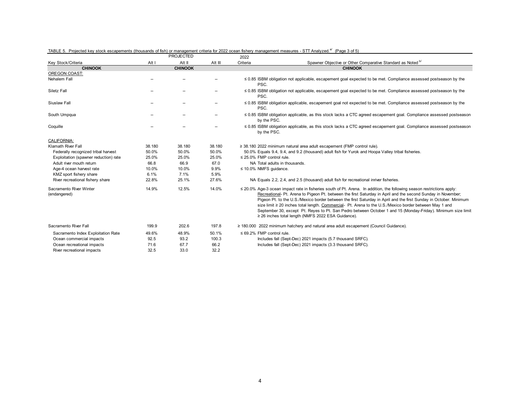|                                         |        | PROJECTED      |         | 2022                                                                                                                                                                                                                                                                                                                                                                                                                                                                                                                                                                                                                                             |
|-----------------------------------------|--------|----------------|---------|--------------------------------------------------------------------------------------------------------------------------------------------------------------------------------------------------------------------------------------------------------------------------------------------------------------------------------------------------------------------------------------------------------------------------------------------------------------------------------------------------------------------------------------------------------------------------------------------------------------------------------------------------|
| Key Stock/Criteria                      | Alt I  | Alt II         | Alt III | Spawner Objective or Other Comparative Standard as Noted <sup>b/</sup><br>Criteria                                                                                                                                                                                                                                                                                                                                                                                                                                                                                                                                                               |
| <b>CHINOOK</b>                          |        | <b>CHINOOK</b> |         | <b>CHINOOK</b>                                                                                                                                                                                                                                                                                                                                                                                                                                                                                                                                                                                                                                   |
| OREGON COAST:                           |        |                |         |                                                                                                                                                                                                                                                                                                                                                                                                                                                                                                                                                                                                                                                  |
| Nehalem Fall                            | --     |                |         | $\leq$ 0.85 ISBM obligation not applicable, escapement goal expected to be met. Compliance assessed postseason by the<br>PSC.                                                                                                                                                                                                                                                                                                                                                                                                                                                                                                                    |
| Siletz Fall                             | --     |                |         | $\leq$ 0.85 ISBM obligation not applicable, escapement goal expected to be met. Compliance assessed postseason by the<br>PSC.                                                                                                                                                                                                                                                                                                                                                                                                                                                                                                                    |
| Siuslaw Fall                            | --     |                |         | $\leq$ 0.85 ISBM obligation applicable, escapement goal not expected to be met. Compliance assessed postseason by the<br>PSC.                                                                                                                                                                                                                                                                                                                                                                                                                                                                                                                    |
| South Umpqua                            | --     |                |         | ≤ 0.85 ISBM obligation applicable, as this stock lacks a CTC agreed escapement goal. Compliance assessed postseason<br>by the PSC.                                                                                                                                                                                                                                                                                                                                                                                                                                                                                                               |
| Coquille                                | --     |                |         | ≤ 0.85 ISBM obligation applicable, as this stock lacks a CTC agreed escapement goal. Compliance assessed postseason<br>by the PSC.                                                                                                                                                                                                                                                                                                                                                                                                                                                                                                               |
| CALIFORNIA:                             |        |                |         |                                                                                                                                                                                                                                                                                                                                                                                                                                                                                                                                                                                                                                                  |
| Klamath River Fall                      | 38.180 | 38.180         | 38.180  | $\geq$ 38.180 2022 minimum natural area adult escapement (FMP control rule).                                                                                                                                                                                                                                                                                                                                                                                                                                                                                                                                                                     |
| Federally recognized tribal harvest     | 50.0%  | 50.0%          | 50.0%   | 50.0% Equals 9.4, 9.4, and 9.2 (thousand) adult fish for Yurok and Hoopa Valley tribal fisheries.                                                                                                                                                                                                                                                                                                                                                                                                                                                                                                                                                |
| Exploitation (spawner reduction) rate   | 25.0%  | 25.0%          | 25.0%   | $\leq$ 25.0% FMP control rule.                                                                                                                                                                                                                                                                                                                                                                                                                                                                                                                                                                                                                   |
| Adult river mouth return                | 66.8   | 66.9           | 67.0    | NA Total adults in thousands.                                                                                                                                                                                                                                                                                                                                                                                                                                                                                                                                                                                                                    |
| Age-4 ocean harvest rate                | 10.0%  | 10.0%          | 9.9%    | $\leq$ 10.0% NMFS guidance.                                                                                                                                                                                                                                                                                                                                                                                                                                                                                                                                                                                                                      |
| KMZ sport fishery share                 | 6.1%   | 7.1%           | 5.9%    |                                                                                                                                                                                                                                                                                                                                                                                                                                                                                                                                                                                                                                                  |
| River recreational fishery share        | 22.8%  | 25.1%          | 27.6%   | NA Equals 2.2, 2.4, and 2.5 (thousand) adult fish for recreational inriver fisheries.                                                                                                                                                                                                                                                                                                                                                                                                                                                                                                                                                            |
| Sacramento River Winter<br>(endangered) | 14.9%  | 12.5%          | 14.0%   | $\leq$ 20.0% Age-3 ocean impact rate in fisheries south of Pt. Arena. In addition, the following season restrictions apply:<br>Recreational- Pt. Arena to Pigeon Pt. between the first Saturday in April and the second Sunday in November;<br>Pigeon Pt. to the U.S./Mexico border between the first Saturday in April and the first Sunday in October. Minimum<br>size limit ≥ 20 inches total length. Commercial- Pt. Arena to the U.S./Mexico border between May 1 and<br>September 30, except Pt. Reyes to Pt. San Pedro between October 1 and 15 (Monday-Friday). Minimum size limit<br>≥ 26 inches total length (NMFS 2022 ESA Guidance). |
| Sacramento River Fall                   | 199.9  | 202.6          | 197.8   | $\geq$ 180.000 2022 minimum hatchery and natural area adult escapement (Council Guidance).                                                                                                                                                                                                                                                                                                                                                                                                                                                                                                                                                       |
| Sacramento Index Exploitation Rate      | 49.6%  | 48.9%          | 50.1%   | $\leq 69.2\%$ FMP control rule.                                                                                                                                                                                                                                                                                                                                                                                                                                                                                                                                                                                                                  |
| Ocean commercial impacts                | 92.5   | 93.2           | 100.3   | Includes fall (Sept-Dec) 2021 impacts (5.7 thousand SRFC).                                                                                                                                                                                                                                                                                                                                                                                                                                                                                                                                                                                       |
| Ocean recreational impacts              | 71.6   | 67.7           | 66.2    | Includes fall (Sept-Dec) 2021 impacts (3.3 thousand SRFC).                                                                                                                                                                                                                                                                                                                                                                                                                                                                                                                                                                                       |
| River recreational impacts              | 32.5   | 33.0           | 32.2    |                                                                                                                                                                                                                                                                                                                                                                                                                                                                                                                                                                                                                                                  |
|                                         |        |                |         |                                                                                                                                                                                                                                                                                                                                                                                                                                                                                                                                                                                                                                                  |

## TABLE 5. Projected key stock escapements (thousands of fish) or management criteria for 2022 ocean fishery management measures - STT Analyzed.<sup>a/</sup> (Page 3 of 5)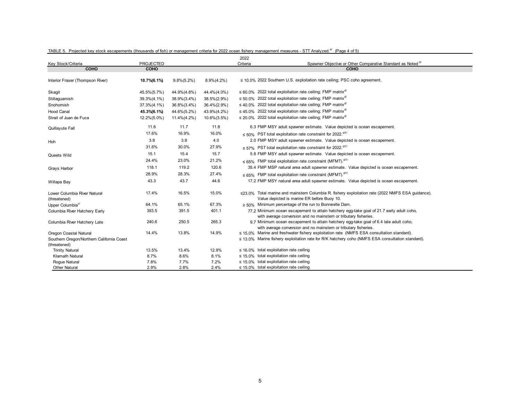|                                                           |                  |                 |                 | 2022     |                                                                                                       |
|-----------------------------------------------------------|------------------|-----------------|-----------------|----------|-------------------------------------------------------------------------------------------------------|
| Key Stock/Criteria                                        | <b>PROJECTED</b> |                 |                 | Criteria | Spawner Objective or Other Comparative Standard as Noted bl                                           |
| COHO                                                      | <b>COHO</b>      |                 |                 |          | COHO                                                                                                  |
| Interior Fraser (Thompson River)                          | 10.7% (6.1%)     | $9.8\%(5.2\%)$  | $8.9\%(4.2\%)$  |          | ≤ 10.0% 2022 Southern U.S. exploitation rate ceiling; PSC coho agreement.                             |
| Skagit                                                    | 45.5%(5.7%)      | 44.9%(4.8%)     | 44.4%(4.0%)     |          | $\leq$ 60.0% 2022 total exploitation rate ceiling; FMP matrix <sup>d/</sup>                           |
| Stillaguamish                                             | 39.3%(4.1%)      | 38.9%(3.4%)     | 38.5%(2.9%)     |          | $\leq$ 50.0% 2022 total exploitation rate ceiling; FMP matrix <sup>d/</sup>                           |
| Snohomish                                                 | 37.3%(4.1%)      | 36.8%(3.4%)     | $36.4\%(2.9\%)$ |          | $\leq$ 40.0% 2022 total exploitation rate ceiling; FMP matrix <sup>d/</sup>                           |
| <b>Hood Canal</b>                                         | 45.3%(6.1%)      | 44.6%(5.2%)     | 43.9%(4.2%)     |          | $\leq$ 45.0% 2022 total exploitation rate ceiling; FMP matrix <sup>d/</sup>                           |
| Strait of Juan de Fuca                                    | 12.2%(5.0%)      | $11.4\%(4.2\%)$ | $10.6\%(3.5\%)$ |          | $\leq$ 20.0% 2022 total exploitation rate ceiling; FMP matrix <sup>d/</sup>                           |
| Quillayute Fall                                           | 11.6             | 11.7            | 11.8            |          | 6.3 FMP MSY adult spawner estimate. Value depicted is ocean escapement.                               |
|                                                           | 17.6%            | 16.9%           | 16.0%           |          | $\leq$ 50% PST total exploitation rate constraint for 2022.                                           |
| Hoh                                                       | 3.8              | 3.9             | 4.0             |          | 2.0 FMP MSY adult spawner estimate. Value depicted is ocean escapement.                               |
|                                                           | 31.6%            | 30.0%           | 27.9%           |          | $\leq$ 57% PST total exploitation rate constraint for 2022.                                           |
| Queets Wild                                               | 15.1             | 15.4            | 15.7            |          | 5.8 FMP MSY adult spawner estimate. Value depicted is ocean escapement.                               |
|                                                           | 24.4%            | 23.0%           | 21.2%           |          | $\leq$ 65% FMP total exploitation rate constraint (MFMT). $d/f$                                       |
| Grays Harbor                                              | 118.1            | 119.2           | 120.6           |          | 35.4 FMP MSP natural area adult spawner estimate. Value depicted is ocean escapement.                 |
|                                                           | 28.9%            | 28.3%           | 27.4%           |          | $\leq$ 65% FMP total exploitation rate constraint (MFMT). $d/f$                                       |
| Willapa Bay                                               | 43.3             | 43.7            | 44.6            |          | 17.2 FMP MSY natural area adult spawner estimate. Value depicted is ocean escapement.                 |
| Lower Columbia River Natural                              | 17.4%            | 16.5%           | 15.0%           |          | ≤23.0% Total marine and mainstem Columbia R. fishery exploitation rate (2022 NMFS ESA quidance).      |
| (threatened)                                              |                  |                 |                 |          | Value depicted is marine ER before Buoy 10.                                                           |
| Upper Columbia <sup>c/</sup>                              | 64.1%            | 65.1%           | 67.3%           |          | $\geq$ 50% Minimum percentage of the run to Bonneville Dam.                                           |
| Columbia River Hatchery Early                             | 393.5            | 391.5           | 401.1           |          | 77.2 Minimum ocean escapement to attain hatchery egg-take goal of 21.7 early adult coho,              |
|                                                           |                  |                 |                 |          | with average conversion and no mainstem or tributary fisheries.                                       |
| Columbia River Hatchery Late                              | 240.6            | 250.5           | 265.3           |          | 9.7 Minimum ocean escapement to attain hatchery egg-take goal of 6.4 late adult coho,                 |
|                                                           |                  |                 |                 |          | with average conversion and no mainstem or tributary fisheries.                                       |
| Oregon Coastal Natural                                    | 14.4%            | 13.8%           | 14.9%           |          | $\leq$ 15.0% Marine and freshwater fishery exploitation rate (NMFS ESA consultation standard).        |
| Southern Oregon/Northern California Coast<br>(threatened) |                  |                 |                 |          | $\leq$ 13.0% Marine fishery exploitation rate for R/K hatchery coho (NMFS ESA consultation standard). |
| <b>Trinity Natural</b>                                    | 13.5%            | 13.4%           | 12.9%           |          | $\leq$ 16.0% total exploitation rate ceiling                                                          |
| <b>Klamath Natural</b>                                    | 8.7%             | 8.6%            | 8.1%            |          | $\leq$ 15.0% total exploitation rate ceiling                                                          |
| Rogue Natural                                             | 7.8%             | 7.7%            | 7.2%            |          | $\leq$ 15.0% total exploitation rate ceiling                                                          |
| <b>Other Natural</b>                                      | 2.9%             | 2.8%            | 2.4%            |          | $\leq$ 15.0% total exploitation rate ceiling                                                          |

## TABLE 5. Projected key stock escapements (thousands of fish) or management criteria for 2022 ocean fishery management measures - STT Analyzed.<sup>a/</sup> (Page 4 of 5)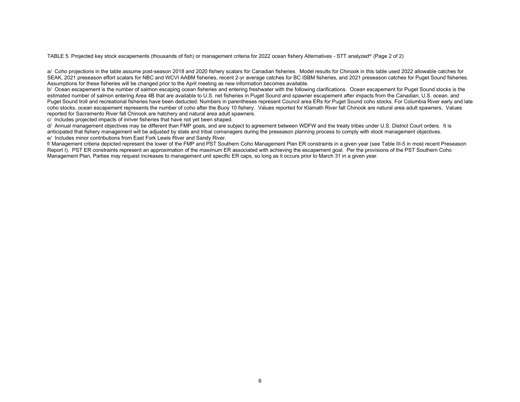TABLE 5. Projected key stock escapements (thousands of fish) or management criteria for 2022 ocean fishery Alternatives - STT analyzed<sup>a/</sup> (Page 2 of 2)

a/ Coho projections in the table assume post-season 2018 and 2020 fishery scalars for Canadian fisheries. Model results for Chinook in this table used 2022 allowable catches for SEAK, 2021 preseason effort scalars for NBC and WCVI AABM fisheries, recent 2-yr average catches for BC ISBM fisheries, and 2021 preseason catches for Puget Sound fisheries. Assumptions for these fisheries will be changed prior to the April meeting as new information becomes available.

b/ Ocean escapement is the number of salmon escaping ocean fisheries and entering freshwater with the following clarifications. Ocean escapement for Puget Sound stocks is the estimated number of salmon entering Area 4B that are available to U.S. net fisheries in Puget Sound and spawner escapement after impacts from the Canadian, U.S. ocean, and Puget Sound troll and recreational fisheries have been deducted. Numbers in parentheses represent Council area ERs for Puget Sound coho stocks. For Columbia River early and late coho stocks, ocean escapement represents the number of coho after the Buoy 10 fishery. Values reported for Klamath River fall Chinook are natural area adult spawners. Values reported for Sacramento River fall Chinook are hatchery and natural area adult spawners.

c/ Includes projected impacts of inriver fisheries that have not yet been shaped.

d/ Annual management objectives may be different than FMP goals, and are subject to agreement between WDFW and the treaty tribes under U.S. District Court orders. It is anticipated that fishery management will be adjusted by state and tribal comanagers during the preseason planning process to comply with stock management objectives. e/ Includes minor contributions from East Fork Lewis River and Sandy River.

f/ Management criteria depicted represent the lower of the FMP and PST Southern Coho Management Plan ER constraints in a given year (see Table III-5 in most recent Preseason Report I). PST ER constraints represent an approximation of the maximum ER associated with achieving the escapement goal. Per the provisions of the PST Southern Coho Management Plan, Parties may request increases to management unit specific ER caps, so long as it occurs prior to March 31 in a given year.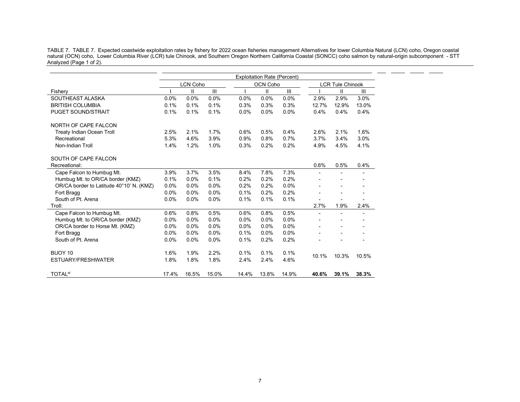TABLE 7. TABLE 7. Expected coastwide exploitation rates by fishery for 2022 ocean fisheries management Alternatives for lower Columbia Natural (LCN) coho, Oregon coastal natural (OCN) coho, Lower Columbia River (LCR) tule Chinook, and Southern Oregon Northern California Coastal (SONCC) coho salmon by natural-origin subcomponent - STT Analyzed (Page 1 of 2).

 $\mathcal{L}$ 

 $\overline{\phantom{a}}$  $\sim$ 

|                                          |       |                 |       |       | <b>Exploitation Rate (Percent)</b> |       |                         |              |       |
|------------------------------------------|-------|-----------------|-------|-------|------------------------------------|-------|-------------------------|--------------|-------|
|                                          |       | <b>LCN Coho</b> |       |       | <b>OCN Coho</b>                    |       | <b>LCR Tule Chinook</b> |              |       |
| Fishery                                  |       | Ш               | Ш     |       | $\mathsf{II}$                      | Ш     |                         | $\mathbf{H}$ | Ш     |
| SOUTHEAST ALASKA                         | 0.0%  | 0.0%            | 0.0%  | 0.0%  | 0.0%                               | 0.0%  | 2.9%                    | 2.9%         | 3.0%  |
| <b>BRITISH COLUMBIA</b>                  | 0.1%  | 0.1%            | 0.1%  | 0.3%  | 0.3%                               | 0.3%  | 12.7%                   | 12.9%        | 13.0% |
| <b>PUGET SOUND/STRAIT</b>                | 0.1%  | 0.1%            | 0.1%  | 0.0%  | 0.0%                               | 0.0%  | 0.4%                    | 0.4%         | 0.4%  |
| NORTH OF CAPE FALCON                     |       |                 |       |       |                                    |       |                         |              |       |
| <b>Treaty Indian Ocean Troll</b>         | 2.5%  | 2.1%            | 1.7%  | 0.6%  | 0.5%                               | 0.4%  | 2.6%                    | 2.1%         | 1.6%  |
| Recreational                             | 5.3%  | 4.6%            | 3.9%  | 0.9%  | 0.8%                               | 0.7%  | 3.7%                    | 3.4%         | 3.0%  |
| Non-Indian Troll                         | 1.4%  | 1.2%            | 1.0%  | 0.3%  | 0.2%                               | 0.2%  | 4.9%                    | 4.5%         | 4.1%  |
| SOUTH OF CAPE FALCON                     |       |                 |       |       |                                    |       |                         |              |       |
| Recreational:                            |       |                 |       |       |                                    |       | 0.6%                    | 0.5%         | 0.4%  |
| Cape Falcon to Humbug Mt.                | 3.9%  | 3.7%            | 3.5%  | 8.4%  | 7.8%                               | 7.3%  |                         |              |       |
| Humbug Mt. to OR/CA border (KMZ)         | 0.1%  | 0.0%            | 0.1%  | 0.2%  | 0.2%                               | 0.2%  |                         |              |       |
| OR/CA border to Latitude 40°10' N. (KMZ) | 0.0%  | 0.0%            | 0.0%  | 0.2%  | 0.2%                               | 0.0%  |                         |              |       |
| Fort Bragg                               | 0.0%  | 0.0%            | 0.0%  | 0.1%  | 0.2%                               | 0.2%  |                         |              |       |
| South of Pt. Arena                       | 0.0%  | 0.0%            | 0.0%  | 0.1%  | 0.1%                               | 0.1%  |                         |              |       |
| Troll:                                   |       |                 |       |       |                                    |       | 2.7%                    | 1.9%         | 2.4%  |
| Cape Falcon to Humbug Mt.                | 0.6%  | 0.8%            | 0.5%  | 0.6%  | 0.8%                               | 0.5%  | $\overline{a}$          |              |       |
| Humbug Mt. to OR/CA border (KMZ)         | 0.0%  | 0.0%            | 0.0%  | 0.0%  | 0.0%                               | 0.0%  |                         |              |       |
| OR/CA border to Horse Mt. (KMZ)          | 0.0%  | 0.0%            | 0.0%  | 0.0%  | 0.0%                               | 0.0%  |                         |              |       |
| Fort Bragg                               | 0.0%  | 0.0%            | 0.0%  | 0.1%  | 0.0%                               | 0.0%  |                         |              |       |
| South of Pt. Arena                       | 0.0%  | 0.0%            | 0.0%  | 0.1%  | 0.2%                               | 0.2%  |                         |              |       |
| BUOY 10                                  | 1.6%  | 1.9%            | 2.2%  | 0.1%  | 0.1%                               | 0.1%  |                         |              |       |
| ESTUARY/FRESHWATER                       | 1.8%  | 1.8%            | 1.8%  | 2.4%  | 2.4%                               | 4.6%  | 10.1%                   | 10.3%        | 10.5% |
| TOTAL <sup>a/</sup>                      | 17.4% | 16.5%           | 15.0% | 14.4% | 13.8%                              | 14.9% | 40.6%                   | 39.1%        | 38.3% |